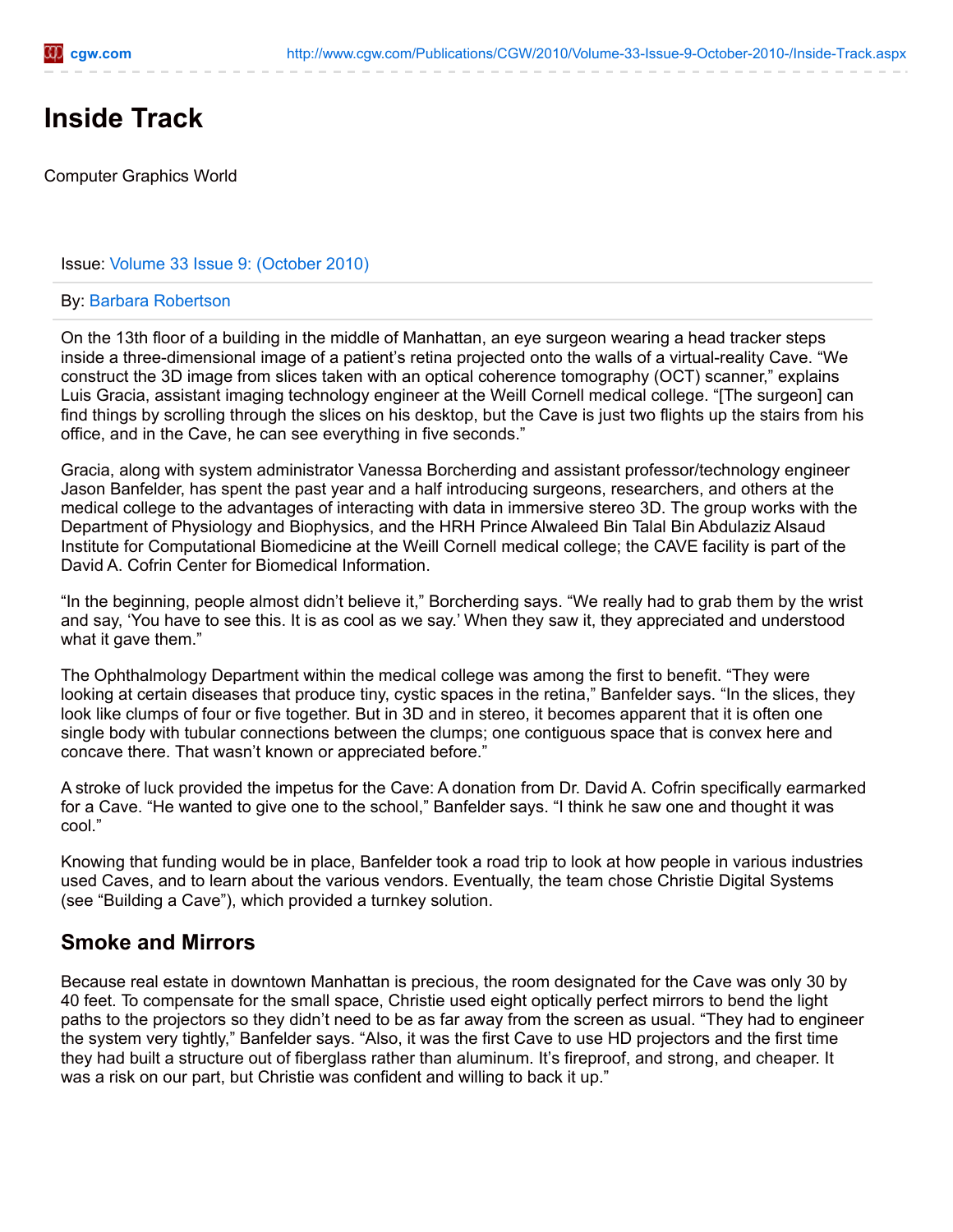# **Inside Track**

Computer Graphics World

#### Issue: Volume 33 Issue 9: [\(October](http://www.cgw.com/Publications/CGW/2010/Volume-33-Issue-9-October-2010-.aspx) 2010)

#### By: Barbara [Robertson](http://www.cgw.com/Publications/Authors/Barbara-Robertson.aspx)

On the 13th floor of a building in the middle of Manhattan, an eye surgeon wearing a head tracker steps inside a three-dimensional image of a patient's retina projected onto the walls of a virtual-reality Cave. "We construct the 3D image from slices taken with an optical coherence tomography (OCT) scanner," explains Luis Gracia, assistant imaging technology engineer at the Weill Cornell medical college. "[The surgeon] can find things by scrolling through the slices on his desktop, but the Cave is just two flights up the stairs from his office, and in the Cave, he can see everything in five seconds."

Gracia, along with system administrator Vanessa Borcherding and assistant professor/technology engineer Jason Banfelder, has spent the past year and a half introducing surgeons, researchers, and others at the medical college to the advantages of interacting with data in immersive stereo 3D. The group works with the Department of Physiology and Biophysics, and the HRH Prince Alwaleed Bin Talal Bin Abdulaziz Alsaud Institute for Computational Biomedicine at the Weill Cornell medical college; the CAVE facility is part of the David A. Cofrin Center for Biomedical Information.

"In the beginning, people almost didn't believe it," Borcherding says. "We really had to grab them by the wrist and say, 'You have to see this. It is as cool as we say.' When they saw it, they appreciated and understood what it gave them."

The Ophthalmology Department within the medical college was among the first to benefit. "They were looking at certain diseases that produce tiny, cystic spaces in the retina," Banfelder says. "In the slices, they look like clumps of four or five together. But in 3D and in stereo, it becomes apparent that it is often one single body with tubular connections between the clumps; one contiguous space that is convex here and concave there. That wasn't known or appreciated before."

A stroke of luck provided the impetus for the Cave: A donation from Dr. David A. Cofrin specifically earmarked for a Cave. "He wanted to give one to the school," Banfelder says. "I think he saw one and thought it was cool."

Knowing that funding would be in place, Banfelder took a road trip to look at how people in various industries used Caves, and to learn about the various vendors. Eventually, the team chose Christie Digital Systems (see "Building a Cave"), which provided a turnkey solution.

## **Smoke and Mirrors**

Because real estate in downtown Manhattan is precious, the room designated for the Cave was only 30 by 40 feet. To compensate for the small space, Christie used eight optically perfect mirrors to bend the light paths to the projectors so they didn't need to be as far away from the screen as usual. "They had to engineer the system very tightly," Banfelder says. "Also, it was the first Cave to use HD projectors and the first time they had built a structure out of fiberglass rather than aluminum. It's fireproof, and strong, and cheaper. It was a risk on our part, but Christie was confident and willing to back it up."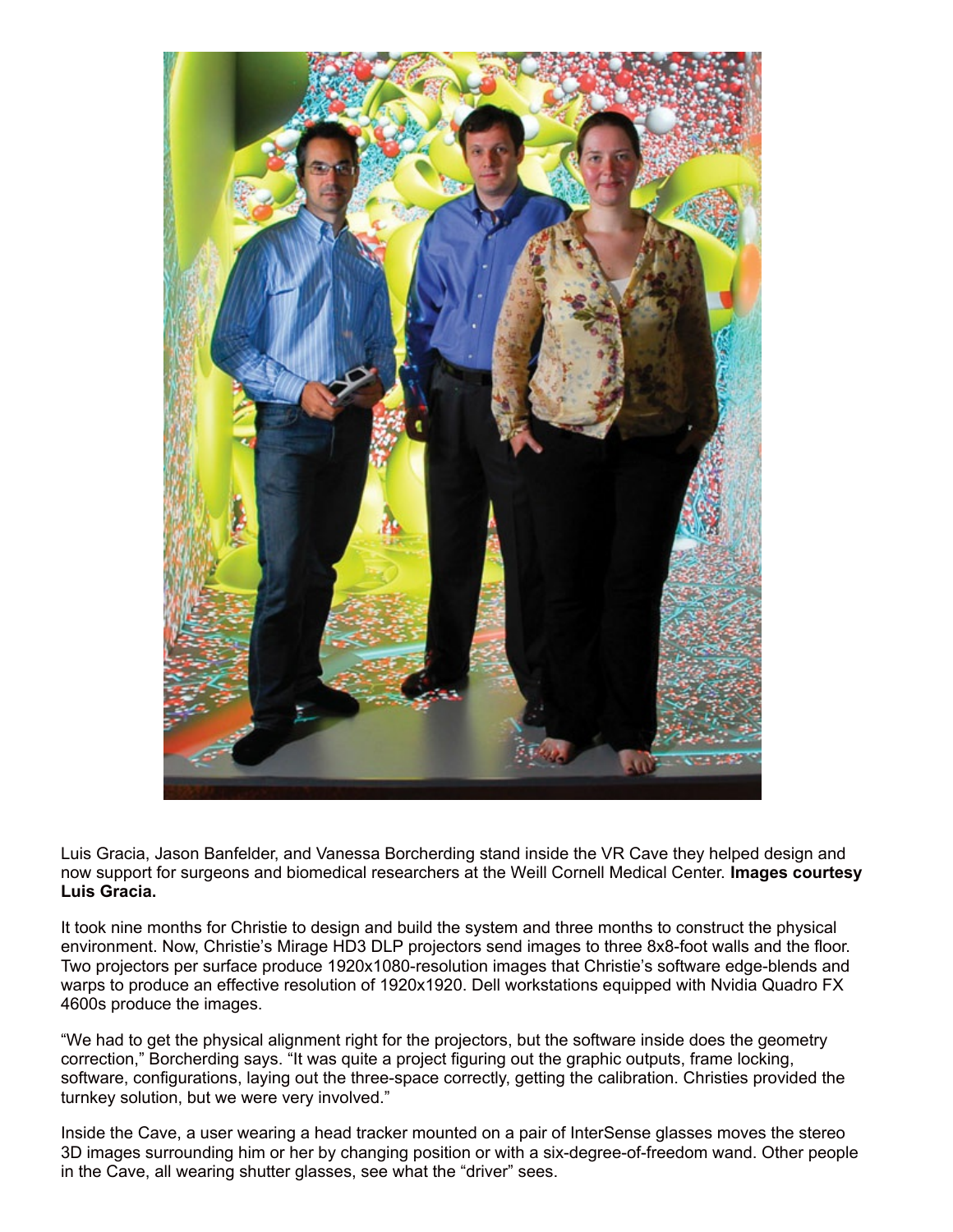

Luis Gracia, Jason Banfelder, and Vanessa Borcherding stand inside the VR Cave they helped design and now support for surgeons and biomedical researchers at the Weill Cornell Medical Center. **Images courtesy Luis Gracia.**

It took nine months for Christie to design and build the system and three months to construct the physical environment. Now, Christie's Mirage HD3 DLP projectors send images to three 8x8-foot walls and the floor. Two projectors per surface produce 1920x1080-resolution images that Christie's software edge-blends and warps to produce an effective resolution of 1920x1920. Dell workstations equipped with Nvidia Quadro FX 4600s produce the images.

"We had to get the physical alignment right for the projectors, but the software inside does the geometry correction," Borcherding says. "It was quite a project figuring out the graphic outputs, frame locking, software, configurations, laying out the three-space correctly, getting the calibration. Christies provided the turnkey solution, but we were very involved."

Inside the Cave, a user wearing a head tracker mounted on a pair of InterSense glasses moves the stereo 3D images surrounding him or her by changing position or with a six-degree-of-freedom wand. Other people in the Cave, all wearing shutter glasses, see what the "driver" sees.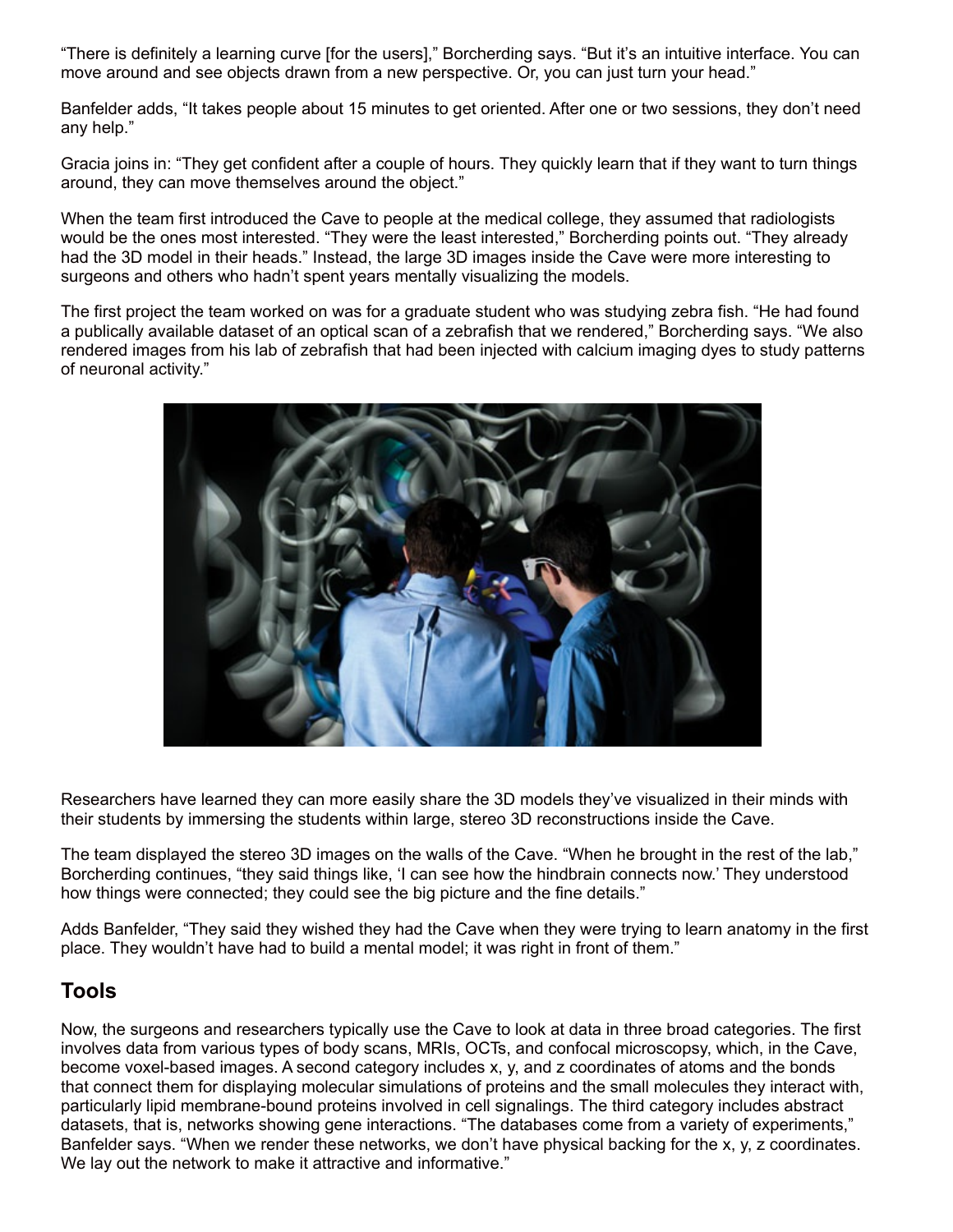"There is definitely a learning curve [for the users]," Borcherding says. "But it's an intuitive interface. You can move around and see objects drawn from a new perspective. Or, you can just turn your head."

Banfelder adds, "It takes people about 15 minutes to get oriented. After one or two sessions, they don't need any help."

Gracia joins in: "They get confident after a couple of hours. They quickly learn that if they want to turn things around, they can move themselves around the object."

When the team first introduced the Cave to people at the medical college, they assumed that radiologists would be the ones most interested. "They were the least interested," Borcherding points out. "They already had the 3D model in their heads." Instead, the large 3D images inside the Cave were more interesting to surgeons and others who hadn't spent years mentally visualizing the models.

The first project the team worked on was for a graduate student who was studying zebra fish. "He had found a publically available dataset of an optical scan of a zebrafish that we rendered," Borcherding says. "We also rendered images from his lab of zebrafish that had been injected with calcium imaging dyes to study patterns of neuronal activity."



Researchers have learned they can more easily share the 3D models they've visualized in their minds with their students by immersing the students within large, stereo 3D reconstructions inside the Cave.

The team displayed the stereo 3D images on the walls of the Cave. "When he brought in the rest of the lab," Borcherding continues, "they said things like, 'I can see how the hindbrain connects now.' They understood how things were connected; they could see the big picture and the fine details."

Adds Banfelder, "They said they wished they had the Cave when they were trying to learn anatomy in the first place. They wouldn't have had to build a mental model; it was right in front of them."

#### **Tools**

Now, the surgeons and researchers typically use the Cave to look at data in three broad categories. The first involves data from various types of body scans, MRIs, OCTs, and confocal microscopsy, which, in the Cave, become voxel-based images. A second category includes x, y, and z coordinates of atoms and the bonds that connect them for displaying molecular simulations of proteins and the small molecules they interact with, particularly lipid membrane-bound proteins involved in cell signalings. The third category includes abstract datasets, that is, networks showing gene interactions. "The databases come from a variety of experiments," Banfelder says. "When we render these networks, we don't have physical backing for the x, y, z coordinates. We lay out the network to make it attractive and informative."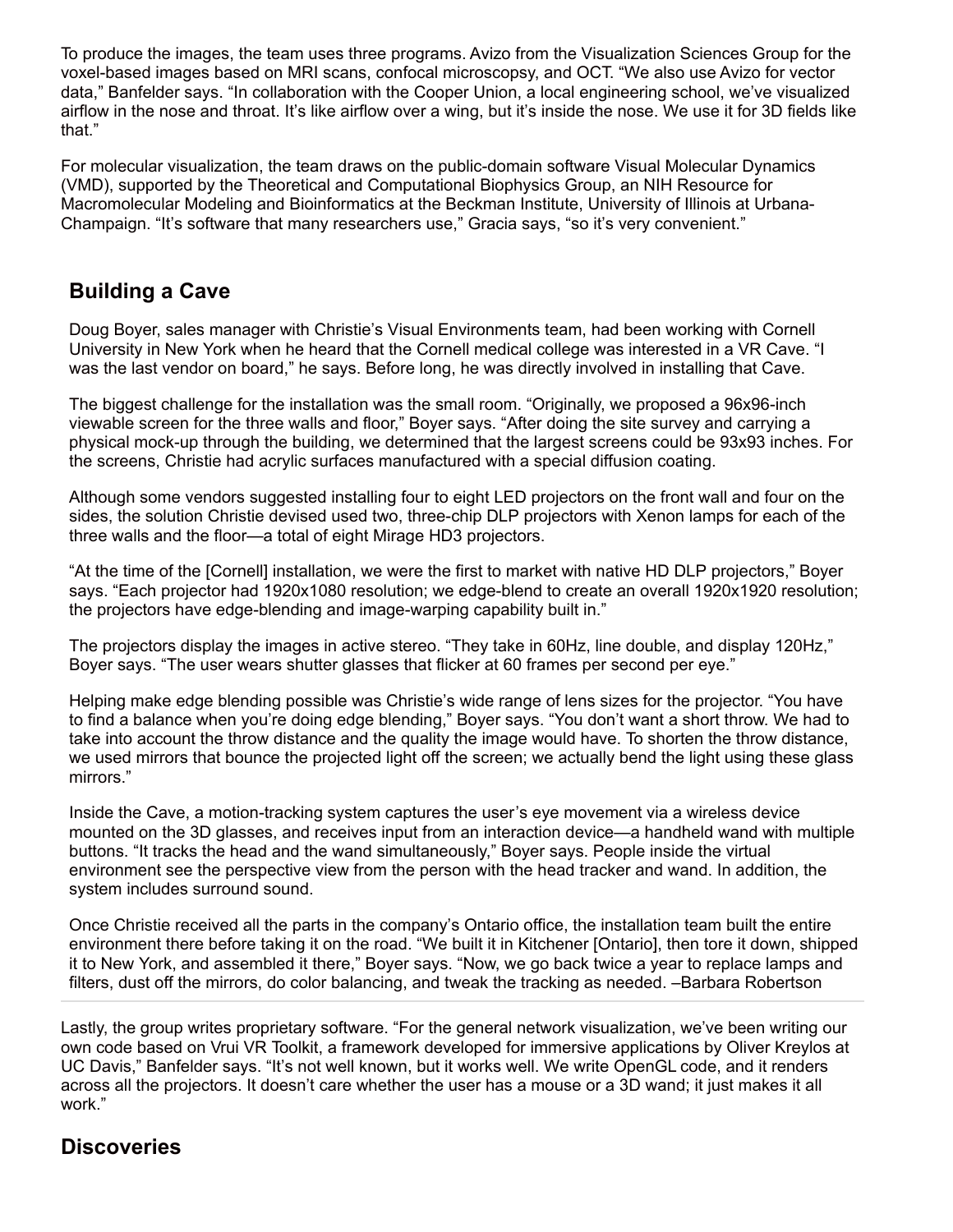To produce the images, the team uses three programs. Avizo from the Visualization Sciences Group for the voxel-based images based on MRI scans, confocal microscopsy, and OCT. "We also use Avizo for vector data," Banfelder says. "In collaboration with the Cooper Union, a local engineering school, we've visualized airflow in the nose and throat. It's like airflow over a wing, but it's inside the nose. We use it for 3D fields like that."

For molecular visualization, the team draws on the public-domain software Visual Molecular Dynamics (VMD), supported by the Theoretical and Computational Biophysics Group, an NIH Resource for Macromolecular Modeling and Bioinformatics at the Beckman Institute, University of Illinois at Urbana-Champaign. "It's software that many researchers use," Gracia says, "so it's very convenient."

#### **Building a Cave**

Doug Boyer, sales manager with Christie's Visual Environments team, had been working with Cornell University in New York when he heard that the Cornell medical college was interested in a VR Cave. "I was the last vendor on board," he says. Before long, he was directly involved in installing that Cave.

The biggest challenge for the installation was the small room. "Originally, we proposed a 96x96-inch viewable screen for the three walls and floor," Boyer says. "After doing the site survey and carrying a physical mock-up through the building, we determined that the largest screens could be 93x93 inches. For the screens, Christie had acrylic surfaces manufactured with a special diffusion coating.

Although some vendors suggested installing four to eight LED projectors on the front wall and four on the sides, the solution Christie devised used two, three-chip DLP projectors with Xenon lamps for each of the three walls and the floor—a total of eight Mirage HD3 projectors.

"At the time of the [Cornell] installation, we were the first to market with native HD DLP projectors," Boyer says. "Each projector had 1920x1080 resolution; we edge-blend to create an overall 1920x1920 resolution; the projectors have edge-blending and image-warping capability built in."

The projectors display the images in active stereo. "They take in 60Hz, line double, and display 120Hz," Boyer says. "The user wears shutter glasses that flicker at 60 frames per second per eye."

Helping make edge blending possible was Christie's wide range of lens sizes for the projector. "You have to find a balance when you're doing edge blending," Boyer says. "You don't want a short throw. We had to take into account the throw distance and the quality the image would have. To shorten the throw distance, we used mirrors that bounce the projected light off the screen; we actually bend the light using these glass mirrors."

Inside the Cave, a motion-tracking system captures the user's eye movement via a wireless device mounted on the 3D glasses, and receives input from an interaction device—a handheld wand with multiple buttons. "It tracks the head and the wand simultaneously," Boyer says. People inside the virtual environment see the perspective view from the person with the head tracker and wand. In addition, the system includes surround sound.

Once Christie received all the parts in the company's Ontario office, the installation team built the entire environment there before taking it on the road. "We built it in Kitchener [Ontario], then tore it down, shipped it to New York, and assembled it there," Boyer says. "Now, we go back twice a year to replace lamps and filters, dust off the mirrors, do color balancing, and tweak the tracking as needed. –Barbara Robertson

Lastly, the group writes proprietary software. "For the general network visualization, we've been writing our own code based on Vrui VR Toolkit, a framework developed for immersive applications by Oliver Kreylos at UC Davis," Banfelder says. "It's not well known, but it works well. We write OpenGL code, and it renders across all the projectors. It doesn't care whether the user has a mouse or a 3D wand; it just makes it all work."

## **Discoveries**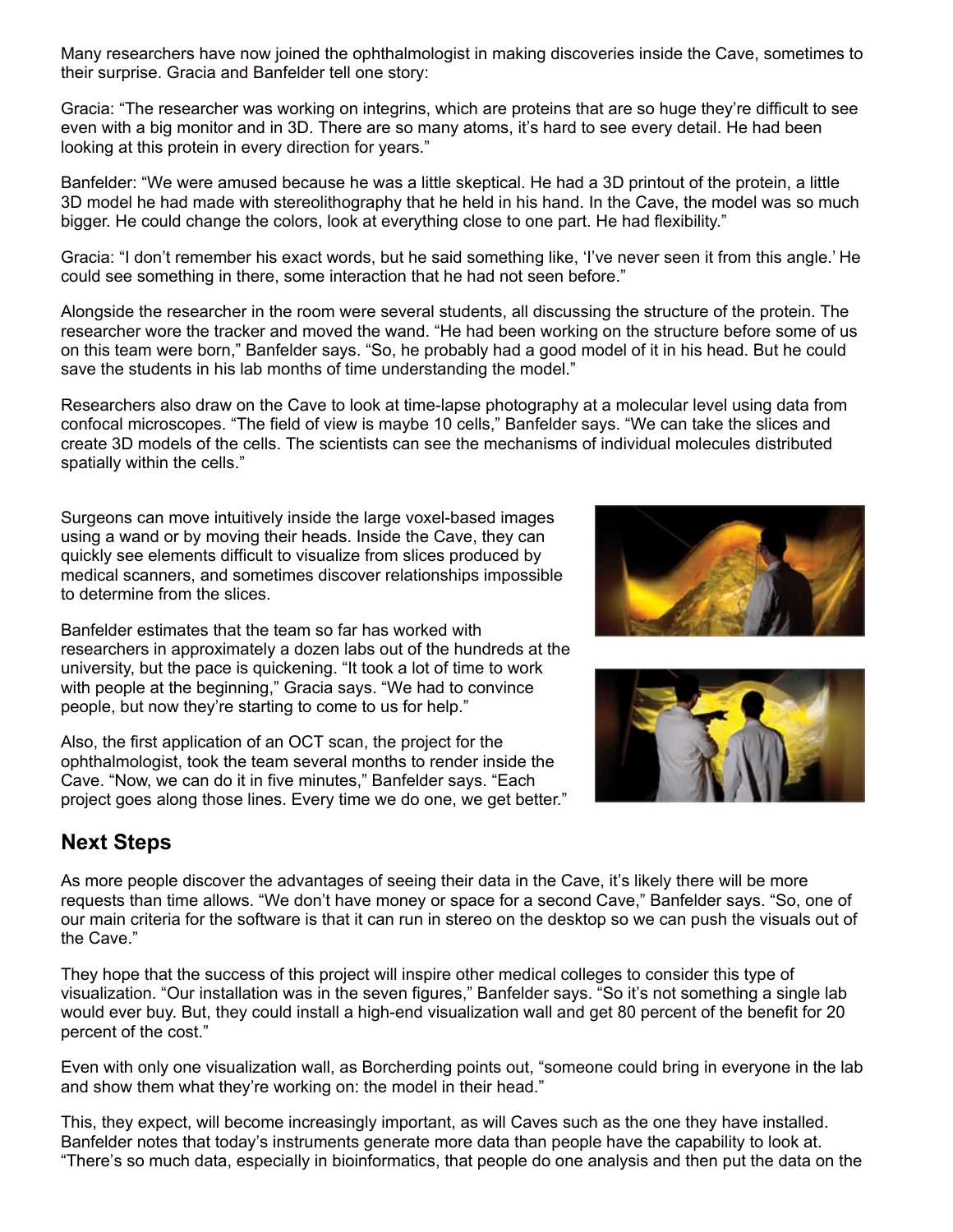Many researchers have now joined the ophthalmologist in making discoveries inside the Cave, sometimes to their surprise. Gracia and Banfelder tell one story:

Gracia: "The researcher was working on integrins, which are proteins that are so huge they're difficult to see even with a big monitor and in 3D. There are so many atoms, it's hard to see every detail. He had been looking at this protein in every direction for years."

Banfelder: "We were amused because he was a little skeptical. He had a 3D printout of the protein, a little 3D model he had made with stereolithography that he held in his hand. In the Cave, the model was so much bigger. He could change the colors, look at everything close to one part. He had flexibility."

Gracia: "I don't remember his exact words, but he said something like, 'I've never seen it from this angle.' He could see something in there, some interaction that he had not seen before."

Alongside the researcher in the room were several students, all discussing the structure of the protein. The researcher wore the tracker and moved the wand. "He had been working on the structure before some of us on this team were born," Banfelder says. "So, he probably had a good model of it in his head. But he could save the students in his lab months of time understanding the model."

Researchers also draw on the Cave to look at time-lapse photography at a molecular level using data from confocal microscopes. "The field of view is maybe 10 cells," Banfelder says. "We can take the slices and create 3D models of the cells. The scientists can see the mechanisms of individual molecules distributed spatially within the cells."

Surgeons can move intuitively inside the large voxel-based images using a wand or by moving their heads. Inside the Cave, they can quickly see elements difficult to visualize from slices produced by medical scanners, and sometimes discover relationships impossible to determine from the slices.

Banfelder estimates that the team so far has worked with researchers in approximately a dozen labs out of the hundreds at the university, but the pace is quickening. "It took a lot of time to work with people at the beginning," Gracia says. "We had to convince people, but now they're starting to come to us for help."

Also, the first application of an OCT scan, the project for the ophthalmologist, took the team several months to render inside the Cave. "Now, we can do it in five minutes," Banfelder says. "Each project goes along those lines. Every time we do one, we get better."





## **Next Steps**

As more people discover the advantages of seeing their data in the Cave, it's likely there will be more requests than time allows. "We don't have money or space for a second Cave," Banfelder says. "So, one of our main criteria for the software is that it can run in stereo on the desktop so we can push the visuals out of the Cave."

They hope that the success of this project will inspire other medical colleges to consider this type of visualization. "Our installation was in the seven figures," Banfelder says. "So it's not something a single lab would ever buy. But, they could install a high-end visualization wall and get 80 percent of the benefit for 20 percent of the cost."

Even with only one visualization wall, as Borcherding points out, "someone could bring in everyone in the lab and show them what they're working on: the model in their head."

This, they expect, will become increasingly important, as will Caves such as the one they have installed. Banfelder notes that today's instruments generate more data than people have the capability to look at. "There's so much data, especially in bioinformatics, that people do one analysis and then put the data on the